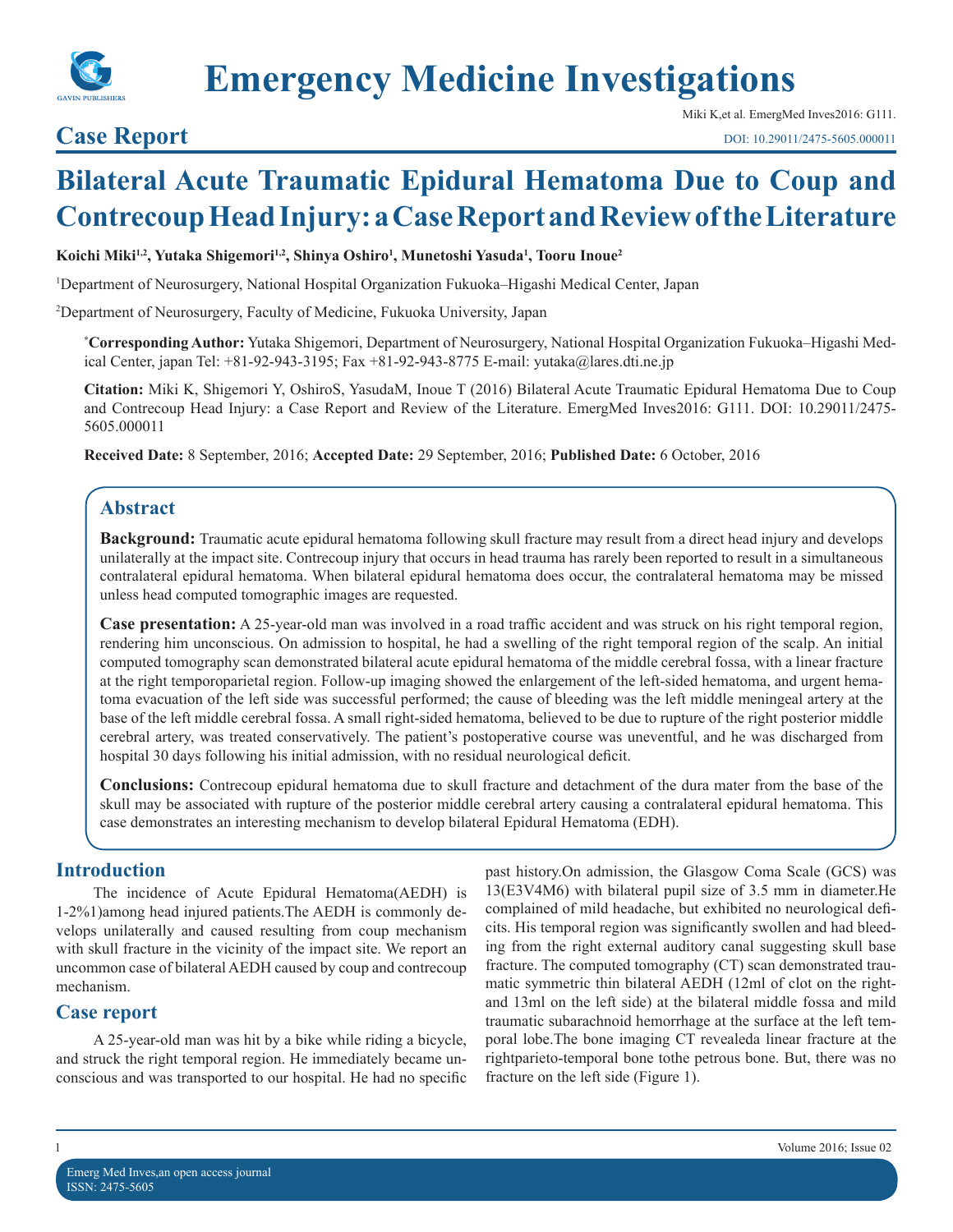

**Emergency Medicine Investigations**

# **Case Report**

Miki K,et al. EmergMed Inves2016: G111. [DOI: 10.29011/2475-5605.000011](http://doi.org/10.29011/2475-5605.000011)

# **Bilateral Acute Traumatic Epidural Hematoma Due to Coup and Contrecoup Head Injury: a Case Report and Review of the Literature**

#### **Koichi Miki1,2, Yutaka Shigemori1,2, Shinya Oshiro1 , Munetoshi Yasuda1 , Tooru Inoue2**

1 Department of Neurosurgery, National Hospital Organization Fukuoka–Higashi Medical Center, Japan

2 Department of Neurosurgery, Faculty of Medicine, Fukuoka University, Japan

**\* Corresponding Author:** Yutaka Shigemori, Department of Neurosurgery, National Hospital Organization Fukuoka–Higashi Medical Center, japan Tel: +81-92-943-3195; Fax +81-92-943-8775 E-mail: yutaka@lares.dti.ne.jp

**Citation:** Miki K, Shigemori Y, OshiroS, YasudaM, Inoue T (2016) Bilateral Acute Traumatic Epidural Hematoma Due to Coup and Contrecoup Head Injury: a Case Report and Review of the Literature. EmergMed Inves2016: G111. DOI: 10.29011/2475- 5605.000011

**Received Date:** 8 September, 2016; **Accepted Date:** 29 September, 2016; **Published Date:** 6 October, 2016

## **Abstract**

**Background:** Traumatic acute epidural hematoma following skull fracture may result from a direct head injury and develops unilaterally at the impact site. Contrecoup injury that occurs in head trauma has rarely been reported to result in a simultaneous contralateral epidural hematoma. When bilateral epidural hematoma does occur, the contralateral hematoma may be missed unless head computed tomographic images are requested.

**Case presentation:** A 25-year-old man was involved in a road traffic accident and was struck on his right temporal region, rendering him unconscious. On admission to hospital, he had a swelling of the right temporal region of the scalp. An initial computed tomography scan demonstrated bilateral acute epidural hematoma of the middle cerebral fossa, with a linear fracture at the right temporoparietal region. Follow-up imaging showed the enlargement of the left-sided hematoma, and urgent hematoma evacuation of the left side was successful performed; the cause of bleeding was the left middle meningeal artery at the base of the left middle cerebral fossa. A small right-sided hematoma, believed to be due to rupture of the right posterior middle cerebral artery, was treated conservatively. The patient's postoperative course was uneventful, and he was discharged from hospital 30 days following his initial admission, with no residual neurological deficit.

**Conclusions:** Contrecoup epidural hematoma due to skull fracture and detachment of the dura mater from the base of the skull may be associated with rupture of the posterior middle cerebral artery causing a contralateral epidural hematoma. This case demonstrates an interesting mechanism to develop bilateral Epidural Hematoma (EDH).

#### **Introduction**

The incidence of Acute Epidural Hematoma(AEDH) is 1-2%1)among head injured patients.The AEDH is commonly develops unilaterally and caused resulting from coup mechanism with skull fracture in the vicinity of the impact site. We report an uncommon case of bilateral AEDH caused by coup and contrecoup mechanism.

### **Case report**

A 25-year-old man was hit by a bike while riding a bicycle, and struck the right temporal region. He immediately became unconscious and was transported to our hospital. He had no specific past history.On admission, the Glasgow Coma Scale (GCS) was 13(E3V4M6) with bilateral pupil size of 3.5 mm in diameter.He complained of mild headache, but exhibited no neurological deficits. His temporal region was significantly swollen and had bleeding from the right external auditory canal suggesting skull base fracture. The computed tomography (CT) scan demonstrated traumatic symmetric thin bilateral AEDH (12ml of clot on the rightand 13ml on the left side) at the bilateral middle fossa and mild traumatic subarachnoid hemorrhage at the surface at the left temporal lobe.The bone imaging CT revealeda linear fracture at the rightparieto-temporal bone tothe petrous bone. But, there was no fracture on the left side (Figure 1).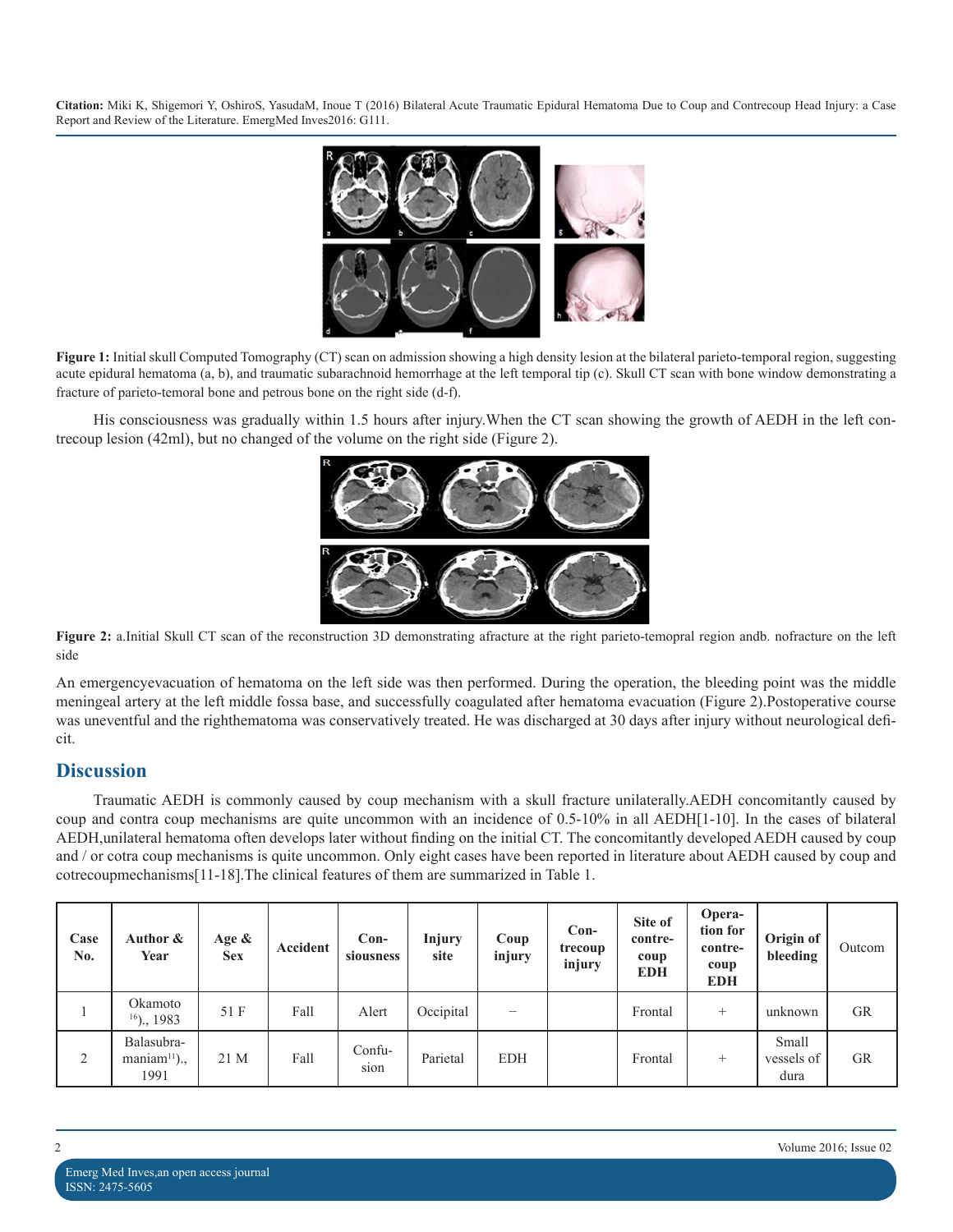**Citation:** Miki K, Shigemori Y, OshiroS, YasudaM, Inoue T (2016) Bilateral Acute Traumatic Epidural Hematoma Due to Coup and Contrecoup Head Injury: a Case Report and Review of the Literature. EmergMed Inves2016: G111.



**Figure 1:** Initial skull Computed Tomography (CT) scan on admission showing a high density lesion at the bilateral parieto-temporal region, suggesting acute epidural hematoma (a, b), and traumatic subarachnoid hemorrhage at the left temporal tip (c). Skull CT scan with bone window demonstrating a fracture of parieto-temoral bone and petrous bone on the right side (d-f).

His consciousness was gradually within 1.5 hours after injury.When the CT scan showing the growth of AEDH in the left contrecoup lesion (42ml), but no changed of the volume on the right side (Figure 2).



**Figure 2:** a.Initial Skull CT scan of the reconstruction 3D demonstrating afracture at the right parieto-temopral region andb. nofracture on the left side

An emergencyevacuation of hematoma on the left side was then performed. During the operation, the bleeding point was the middle meningeal artery at the left middle fossa base, and successfully coagulated after hematoma evacuation (Figure 2).Postoperative course was uneventful and the righthematoma was conservatively treated. He was discharged at 30 days after injury without neurological deficit.

#### **Discussion**

Traumatic AEDH is commonly caused by coup mechanism with a skull fracture unilaterally.AEDH concomitantly caused by coup and contra coup mechanisms are quite uncommon with an incidence of 0.5-10% in all AEDH[1-10]. In the cases of bilateral AEDH,unilateral hematoma often develops later without finding on the initial CT. The concomitantly developed AEDH caused by coup and / or cotra coup mechanisms is quite uncommon. Only eight cases have been reported in literature about AEDH caused by coup and cotrecoupmechanisms[11-18].The clinical features of them are summarized in Table 1.

| Case<br>No. | Author &<br>Year                     | Age &<br><b>Sex</b> | Accident | $Con-$<br>siousness | Injury<br>site | Coup<br>injury           | $Con-$<br>trecoup<br>injury | Site of<br>contre-<br>coup<br><b>EDH</b> | Opera-<br>tion for<br>contre-<br>coup<br><b>EDH</b> | Origin of<br>bleeding       | Outcom    |
|-------------|--------------------------------------|---------------------|----------|---------------------|----------------|--------------------------|-----------------------------|------------------------------------------|-----------------------------------------------------|-----------------------------|-----------|
|             | Okamoto<br>$16$ , 1983               | 51 F                | Fall     | Alert               | Occipital      | $\overline{\phantom{a}}$ |                             | Frontal                                  | $^{+}$                                              | unknown                     | <b>GR</b> |
| 2           | Balasubra-<br>$maniam11$ ).,<br>1991 | 21 M                | Fall     | Confu-<br>sion      | Parietal       | <b>EDH</b>               |                             | Frontal                                  | $^+$                                                | Small<br>vessels of<br>dura | <b>GR</b> |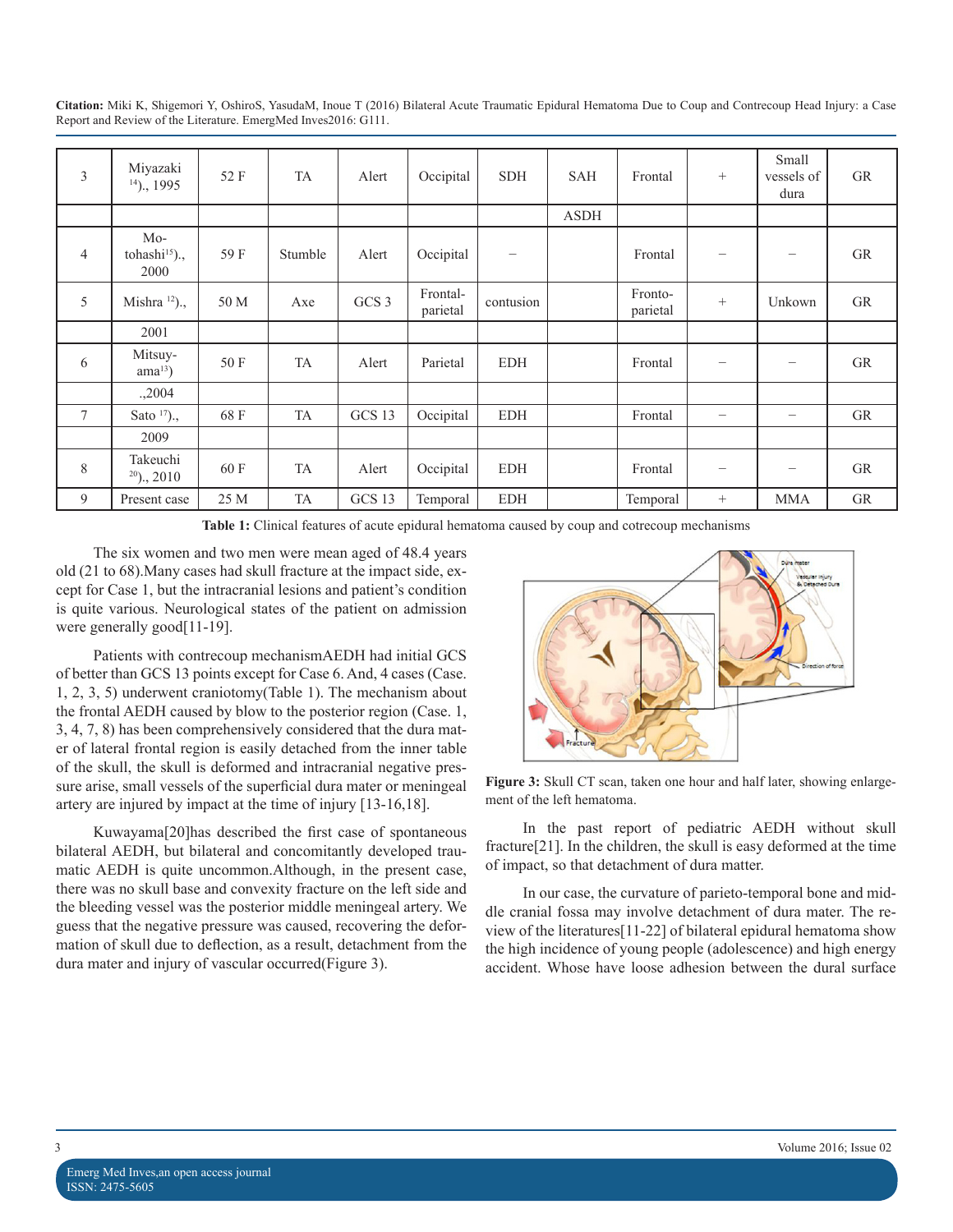**Citation:** Miki K, Shigemori Y, OshiroS, YasudaM, Inoue T (2016) Bilateral Acute Traumatic Epidural Hematoma Due to Coup and Contrecoup Head Injury: a Case Report and Review of the Literature. EmergMed Inves2016: G111.

| 3              | Miyazaki<br>$14$ )., 1995            | 52 F | <b>TA</b> | Alert            | Occipital            | <b>SDH</b>        | <b>SAH</b>  | Frontal             | $^{+}$          | Small<br>vessels of<br>dura | <b>GR</b> |
|----------------|--------------------------------------|------|-----------|------------------|----------------------|-------------------|-------------|---------------------|-----------------|-----------------------------|-----------|
|                |                                      |      |           |                  |                      |                   | <b>ASDH</b> |                     |                 |                             |           |
| $\overline{4}$ | $Mo-$<br>tohashi $^{15}$ ).,<br>2000 | 59 F | Stumble   | Alert            | Occipital            | $\qquad \qquad -$ |             | Frontal             |                 | $\overline{\phantom{0}}$    | <b>GR</b> |
| 5              | Mishra $12$ ).,                      | 50 M | Axe       | GCS <sub>3</sub> | Frontal-<br>parietal | contusion         |             | Fronto-<br>parietal | $\! + \!\!\!\!$ | Unkown                      | GR        |
|                | 2001                                 |      |           |                  |                      |                   |             |                     |                 |                             |           |
| 6              | Mitsuy-<br>$ama^{13}$ )              | 50 F | TA        | Alert            | Parietal             | <b>EDH</b>        |             | Frontal             | -               | $\overline{\phantom{0}}$    | <b>GR</b> |
|                | .,2004                               |      |           |                  |                      |                   |             |                     |                 |                             |           |
| $\tau$         | Sato $17$ ).,                        | 68 F | TA        | GCS 13           | Occipital            | <b>EDH</b>        |             | Frontal             |                 | $\overline{\phantom{m}}$    | GR        |
|                | 2009                                 |      |           |                  |                      |                   |             |                     |                 |                             |           |
| $\,$ 8 $\,$    | Takeuchi<br>$20$ , 2010              | 60 F | <b>TA</b> | Alert            | Occipital            | <b>EDH</b>        |             | Frontal             |                 | $\overline{\phantom{m}}$    | <b>GR</b> |
| 9              | Present case                         | 25 M | TA        | GCS 13           | Temporal             | <b>EDH</b>        |             | Temporal            | $^{+}$          | <b>MMA</b>                  | <b>GR</b> |

**Table 1:** Clinical features of acute epidural hematoma caused by coup and cotrecoup mechanisms

The six women and two men were mean aged of 48.4 years old (21 to 68).Many cases had skull fracture at the impact side, except for Case 1, but the intracranial lesions and patient's condition is quite various. Neurological states of the patient on admission were generally good[11-19].

Patients with contrecoup mechanismAEDH had initial GCS of better than GCS 13 points except for Case 6. And, 4 cases (Case. 1, 2, 3, 5) underwent craniotomy(Table 1). The mechanism about the frontal AEDH caused by blow to the posterior region (Case. 1, 3, 4, 7, 8) has been comprehensively considered that the dura mater of lateral frontal region is easily detached from the inner table of the skull, the skull is deformed and intracranial negative pressure arise, small vessels of the superficial dura mater or meningeal artery are injured by impact at the time of injury [13-16,18].

Kuwayama[20]has described the first case of spontaneous bilateral AEDH, but bilateral and concomitantly developed traumatic AEDH is quite uncommon.Although, in the present case, there was no skull base and convexity fracture on the left side and the bleeding vessel was the posterior middle meningeal artery. We guess that the negative pressure was caused, recovering the deformation of skull due to deflection, as a result, detachment from the dura mater and injury of vascular occurred(Figure 3).



**Figure 3:** Skull CT scan, taken one hour and half later, showing enlargement of the left hematoma.

In the past report of pediatric AEDH without skull fracture[21]. In the children, the skull is easy deformed at the time of impact, so that detachment of dura matter.

In our case, the curvature of parieto-temporal bone and middle cranial fossa may involve detachment of dura mater. The review of the literatures[11-22] of bilateral epidural hematoma show the high incidence of young people (adolescence) and high energy accident. Whose have loose adhesion between the dural surface